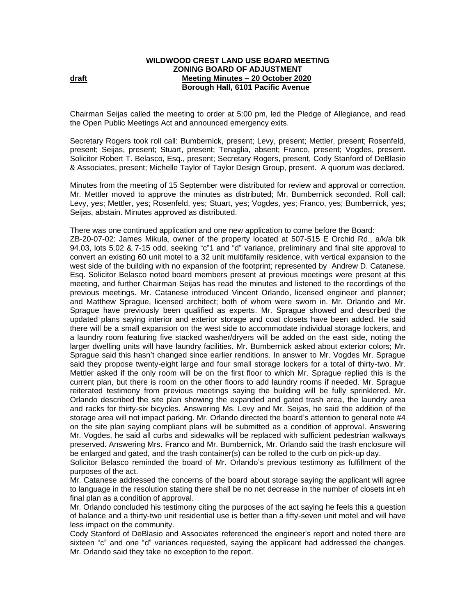## **WILDWOOD CREST LAND USE BOARD MEETING ZONING BOARD OF ADJUSTMENT draft Meeting Minutes – 20 October 2020 Borough Hall, 6101 Pacific Avenue**

Chairman Seijas called the meeting to order at 5:00 pm, led the Pledge of Allegiance, and read the Open Public Meetings Act and announced emergency exits.

Secretary Rogers took roll call: Bumbernick, present; Levy, present; Mettler, present; Rosenfeld, present; Seijas, present; Stuart, present; Tenaglia, absent; Franco, present; Vogdes, present. Solicitor Robert T. Belasco, Esq., present; Secretary Rogers, present, Cody Stanford of DeBlasio & Associates, present; Michelle Taylor of Taylor Design Group, present.A quorum was declared.

Minutes from the meeting of 15 September were distributed for review and approval or correction. Mr. Mettler moved to approve the minutes as distributed; Mr. Bumbernick seconded. Roll call: Levy, yes; Mettler, yes; Rosenfeld, yes; Stuart, yes; Vogdes, yes; Franco, yes; Bumbernick, yes; Seijas, abstain. Minutes approved as distributed.

There was one continued application and one new application to come before the Board: ZB-20-07-02: James Mikula, owner of the property located at 507-515 E Orchid Rd., a/k/a blk 94.03, lots 5.02 & 7-15 odd, seeking "c"1 and "d" variance, preliminary and final site approval to convert an existing 60 unit motel to a 32 unit multifamily residence, with vertical expansion to the west side of the building with no expansion of the footprint; represented by Andrew D. Catanese. Esq. Solicitor Belasco noted board members present at previous meetings were present at this meeting, and further Chairman Seijas has read the minutes and listened to the recordings of the previous meetings. Mr. Catanese introduced Vincent Orlando, licensed engineer and planner; and Matthew Sprague, licensed architect; both of whom were sworn in. Mr. Orlando and Mr. Sprague have previously been qualified as experts. Mr. Sprague showed and described the updated plans saying interior and exterior storage and coat closets have been added. He said there will be a small expansion on the west side to accommodate individual storage lockers, and a laundry room featuring five stacked washer/dryers will be added on the east side, noting the larger dwelling units will have laundry facilities. Mr. Bumbernick asked about exterior colors; Mr. Sprague said this hasn't changed since earlier renditions. In answer to Mr. Vogdes Mr. Sprague said they propose twenty-eight large and four small storage lockers for a total of thirty-two. Mr. Mettler asked if the only room will be on the first floor to which Mr. Sprague replied this is the current plan, but there is room on the other floors to add laundry rooms if needed. Mr. Sprague reiterated testimony from previous meetings saying the building will be fully sprinklered. Mr. Orlando described the site plan showing the expanded and gated trash area, the laundry area and racks for thirty-six bicycles. Answering Ms. Levy and Mr. Seijas, he said the addition of the storage area will not impact parking. Mr. Orlando directed the board's attention to general note #4 on the site plan saying compliant plans will be submitted as a condition of approval. Answering Mr. Vogdes, he said all curbs and sidewalks will be replaced with sufficient pedestrian walkways preserved. Answering Mrs. Franco and Mr. Bumbernick, Mr. Orlando said the trash enclosure will be enlarged and gated, and the trash container(s) can be rolled to the curb on pick-up day.

Solicitor Belasco reminded the board of Mr. Orlando's previous testimony as fulfillment of the purposes of the act.

Mr. Catanese addressed the concerns of the board about storage saying the applicant will agree to language in the resolution stating there shall be no net decrease in the number of closets int eh final plan as a condition of approval.

Mr. Orlando concluded his testimony citing the purposes of the act saying he feels this a question of balance and a thirty-two unit residential use is better than a fifty-seven unit motel and will have less impact on the community.

Cody Stanford of DeBlasio and Associates referenced the engineer's report and noted there are sixteen "c" and one "d" variances requested, saying the applicant had addressed the changes. Mr. Orlando said they take no exception to the report.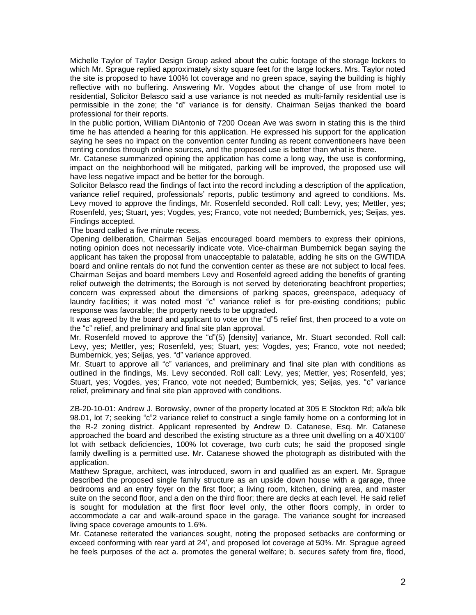Michelle Taylor of Taylor Design Group asked about the cubic footage of the storage lockers to which Mr. Sprague replied approximately sixty square feet for the large lockers. Mrs. Taylor noted the site is proposed to have 100% lot coverage and no green space, saying the building is highly reflective with no buffering. Answering Mr. Vogdes about the change of use from motel to residential, Solicitor Belasco said a use variance is not needed as multi-family residential use is permissible in the zone; the "d" variance is for density. Chairman Seijas thanked the board professional for their reports.

In the public portion, William DiAntonio of 7200 Ocean Ave was sworn in stating this is the third time he has attended a hearing for this application. He expressed his support for the application saying he sees no impact on the convention center funding as recent conventioneers have been renting condos through online sources, and the proposed use is better than what is there.

Mr. Catanese summarized opining the application has come a long way, the use is conforming, impact on the neighborhood will be mitigated, parking will be improved, the proposed use will have less negative impact and be better for the borough.

Solicitor Belasco read the findings of fact into the record including a description of the application, variance relief required, professionals' reports, public testimony and agreed to conditions. Ms. Levy moved to approve the findings, Mr. Rosenfeld seconded. Roll call: Levy, yes; Mettler, yes; Rosenfeld, yes; Stuart, yes; Vogdes, yes; Franco, vote not needed; Bumbernick, yes; Seijas, yes. Findings accepted.

The board called a five minute recess.

Opening deliberation, Chairman Seijas encouraged board members to express their opinions, noting opinion does not necessarily indicate vote. Vice-chairman Bumbernick began saying the applicant has taken the proposal from unacceptable to palatable, adding he sits on the GWTIDA board and online rentals do not fund the convention center as these are not subject to local fees. Chairman Seijas and board members Levy and Rosenfeld agreed adding the benefits of granting relief outweigh the detriments; the Borough is not served by deteriorating beachfront properties; concern was expressed about the dimensions of parking spaces, greenspace, adequacy of laundry facilities; it was noted most "c" variance relief is for pre-existing conditions; public response was favorable; the property needs to be upgraded.

It was agreed by the board and applicant to vote on the "d"5 relief first, then proceed to a vote on the "c" relief, and preliminary and final site plan approval.

Mr. Rosenfeld moved to approve the "d"(5) [density] variance, Mr. Stuart seconded. Roll call: Levy, yes; Mettler, yes; Rosenfeld, yes; Stuart, yes; Vogdes, yes; Franco, vote not needed; Bumbernick, yes; Seijas, yes. "d" variance approved.

Mr. Stuart to approve all "c" variances, and preliminary and final site plan with conditions as outlined in the findings, Ms. Levy seconded. Roll call: Levy, yes; Mettler, yes; Rosenfeld, yes; Stuart, yes; Vogdes, yes; Franco, vote not needed; Bumbernick, yes; Seijas, yes. "c" variance relief, preliminary and final site plan approved with conditions.

ZB-20-10-01: Andrew J. Borowsky, owner of the property located at 305 E Stockton Rd; a/k/a blk 98.01, lot 7; seeking "c"2 variance relief to construct a single family home on a conforming lot in the R-2 zoning district. Applicant represented by Andrew D. Catanese, Esq. Mr. Catanese approached the board and described the existing structure as a three unit dwelling on a 40'X100' lot with setback deficiencies, 100% lot coverage, two curb cuts; he said the proposed single family dwelling is a permitted use. Mr. Catanese showed the photograph as distributed with the application.

Matthew Sprague, architect, was introduced, sworn in and qualified as an expert. Mr. Sprague described the proposed single family structure as an upside down house with a garage, three bedrooms and an entry foyer on the first floor; a living room, kitchen, dining area, and master suite on the second floor, and a den on the third floor; there are decks at each level. He said relief is sought for modulation at the first floor level only, the other floors comply, in order to accommodate a car and walk-around space in the garage. The variance sought for increased living space coverage amounts to 1.6%.

Mr. Catanese reiterated the variances sought, noting the proposed setbacks are conforming or exceed conforming with rear yard at 24', and proposed lot coverage at 50%. Mr. Sprague agreed he feels purposes of the act a. promotes the general welfare; b. secures safety from fire, flood,